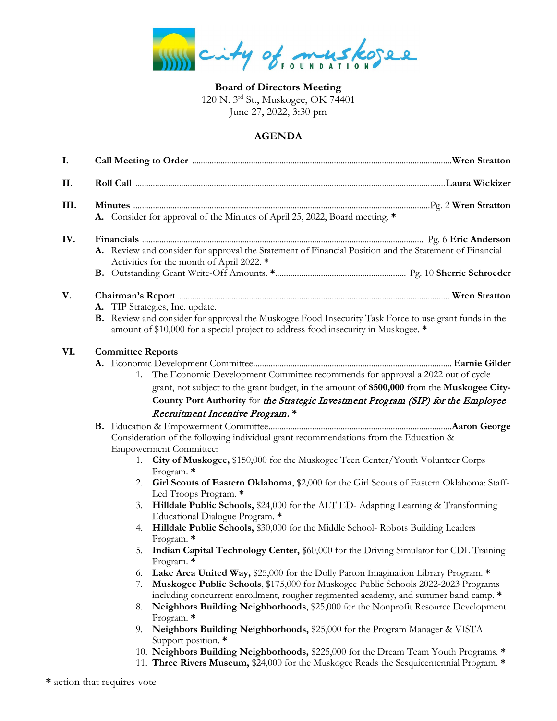city of muskopee

**Board of Directors Meeting** 120 N. 3rd St., Muskogee, OK 74401 June 27, 2022, 3:30 pm

## **AGENDA**

| A. Consider for approval of the Minutes of April 25, 2022, Board meeting. *                                                                                                                                                                                                                                                                                                                                                                                                                                                                                                                                                                                                                                                                                                                                                                                                                                                                                                                                                                                                                                                                                                                                                                                                                                                                                                                                                                                                                                                                                                                  |  |  |
|----------------------------------------------------------------------------------------------------------------------------------------------------------------------------------------------------------------------------------------------------------------------------------------------------------------------------------------------------------------------------------------------------------------------------------------------------------------------------------------------------------------------------------------------------------------------------------------------------------------------------------------------------------------------------------------------------------------------------------------------------------------------------------------------------------------------------------------------------------------------------------------------------------------------------------------------------------------------------------------------------------------------------------------------------------------------------------------------------------------------------------------------------------------------------------------------------------------------------------------------------------------------------------------------------------------------------------------------------------------------------------------------------------------------------------------------------------------------------------------------------------------------------------------------------------------------------------------------|--|--|
| A. Review and consider for approval the Statement of Financial Position and the Statement of Financial<br>Activities for the month of April 2022. *<br>A. TIP Strategies, Inc. update.                                                                                                                                                                                                                                                                                                                                                                                                                                                                                                                                                                                                                                                                                                                                                                                                                                                                                                                                                                                                                                                                                                                                                                                                                                                                                                                                                                                                       |  |  |
| B. Review and consider for approval the Muskogee Food Insecurity Task Force to use grant funds in the<br>amount of \$10,000 for a special project to address food insecurity in Muskogee. *                                                                                                                                                                                                                                                                                                                                                                                                                                                                                                                                                                                                                                                                                                                                                                                                                                                                                                                                                                                                                                                                                                                                                                                                                                                                                                                                                                                                  |  |  |
| <b>Committee Reports</b><br>The Economic Development Committee recommends for approval a 2022 out of cycle<br>grant, not subject to the grant budget, in the amount of \$500,000 from the Muskogee City-<br>County Port Authority for the Strategic Investment Program (SIP) for the Employee<br>Recruitment Incentive Program. *<br>Consideration of the following individual grant recommendations from the Education &<br><b>Empowerment Committee:</b><br>City of Muskogee, \$150,000 for the Muskogee Teen Center/Youth Volunteer Corps<br>Program. *<br>2. Girl Scouts of Eastern Oklahoma, \$2,000 for the Girl Scouts of Eastern Oklahoma: Staff-<br>Led Troops Program. *<br>Hilldale Public Schools, \$24,000 for the ALT ED- Adapting Learning & Transforming<br>Educational Dialogue Program. *<br>Hilldale Public Schools, \$30,000 for the Middle School- Robots Building Leaders<br>Program. *<br>Indian Capital Technology Center, \$60,000 for the Driving Simulator for CDL Training<br>Program. $*$<br>Lake Area United Way, \$25,000 for the Dolly Parton Imagination Library Program. *<br>Muskogee Public Schools, \$175,000 for Muskogee Public Schools 2022-2023 Programs<br>including concurrent enrollment, rougher regimented academy, and summer band camp. *<br>Neighbors Building Neighborhoods, \$25,000 for the Nonprofit Resource Development<br>Program. *<br>9. Neighbors Building Neighborhoods, \$25,000 for the Program Manager & VISTA<br>Support position. *<br>10. Neighbors Building Neighborhoods, \$225,000 for the Dream Team Youth Programs. * |  |  |
| 11. Three Rivers Museum, \$24,000 for the Muskogee Reads the Sesquicentennial Program. *                                                                                                                                                                                                                                                                                                                                                                                                                                                                                                                                                                                                                                                                                                                                                                                                                                                                                                                                                                                                                                                                                                                                                                                                                                                                                                                                                                                                                                                                                                     |  |  |

**\*** action that requires vote